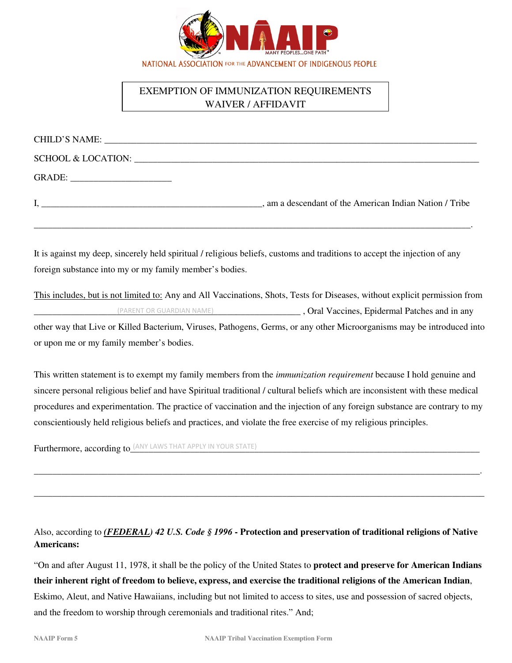

# EXEMPTION OF IMMUNIZATION REQUIREMENTS WAIVER / AFFIDAVIT

| CHILD'S NAME: University of the CHILD'S NAME: |                                                         |
|-----------------------------------------------|---------------------------------------------------------|
|                                               |                                                         |
| GRADE: _______________________                |                                                         |
|                                               | , am a descendant of the American Indian Nation / Tribe |

\_\_\_\_\_\_\_\_\_\_\_\_\_\_\_\_\_\_\_\_\_\_\_\_\_\_\_\_\_\_\_\_\_\_\_\_\_\_\_\_\_\_\_\_\_\_\_\_\_\_\_\_\_\_\_\_\_\_\_\_\_\_\_\_\_\_\_\_\_\_\_\_\_\_\_\_\_\_\_\_\_\_\_\_\_\_\_\_\_\_\_\_\_\_\_.

It is against my deep, sincerely held spiritual / religious beliefs, customs and traditions to accept the injection of any foreign substance into my or my family member's bodies.

This includes, but is not limited to: Any and All Vaccinations, Shots, Tests for Diseases, without explicit permission from \_\_\_\_\_\_\_\_\_\_\_\_\_\_\_\_\_\_\_\_\_\_\_\_\_\_\_\_\_\_\_\_\_\_\_\_\_\_\_\_\_\_\_\_\_\_\_\_\_\_\_\_\_\_\_\_\_\_ , Oral Vaccines, Epidermal Patches and in any other way that Live or Killed Bacterium, Viruses, Pathogens, Germs, or any other Microorganisms may be introduced into or upon me or my family member's bodies. (PARENT OR GUARDIAN NAME)

This written statement is to exempt my family members from the *immunization requirement* because I hold genuine and sincere personal religious belief and have Spiritual traditional / cultural beliefs which are inconsistent with these medical procedures and experimentation. The practice of vaccination and the injection of any foreign substance are contrary to my conscientiously held religious beliefs and practices, and violate the free exercise of my religious principles.

\_\_\_\_\_\_\_\_\_\_\_\_\_\_\_\_\_\_\_\_\_\_\_\_\_\_\_\_\_\_\_\_\_\_\_\_\_\_\_\_\_\_\_\_\_\_\_\_\_\_\_\_\_\_\_\_\_\_\_\_\_\_\_\_\_\_\_\_\_\_\_\_\_\_\_\_\_\_\_\_\_\_\_\_\_\_\_\_\_\_\_\_\_\_\_\_\_.

\_\_\_\_\_\_\_\_\_\_\_\_\_\_\_\_\_\_\_\_\_\_\_\_\_\_\_\_\_\_\_\_\_\_\_\_\_\_\_\_\_\_\_\_\_\_\_\_\_\_\_\_\_\_\_\_\_\_\_\_\_\_\_\_\_\_\_\_\_\_\_\_\_\_\_\_\_\_\_\_\_\_\_\_\_\_\_\_\_\_\_\_\_\_\_\_\_\_

Furthermore, according to *LANY LAWS THAT APPLY IN YOUR STATE*)

Also, according to *(FEDERAL) 42 U.S. Code § 1996* **- Protection and preservation of traditional religions of Native Americans:** 

"On and after August 11, 1978, it shall be the policy of the United States to **protect and preserve for American Indians their inherent right of freedom to believe, express, and exercise the traditional religions of the American Indian**, Eskimo, Aleut, and Native Hawaiians, including but not limited to access to sites, use and possession of sacred objects, and the freedom to worship through ceremonials and traditional rites." And;